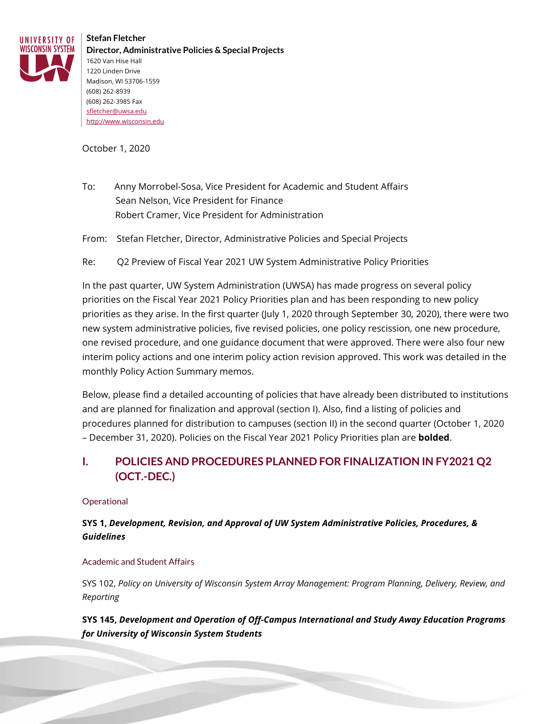

**Stefan Fletcher Director, Administrative Policies & Special Projects** 1620 Van Hise Hall 1220 Linden Drive Madison, WI 53706-1559 (608) 262-8939 (608) 262-3985 Fax [sfletcher@uwsa.edu](mailto:sfletcher@uwsa.edu) [http://www.wisconsin.edu](http://www.wisconsin.edu/)

October 1, 2020

To: Anny Morrobel-Sosa, Vice President for Academic and Student Affairs Sean Nelson, Vice President for Finance Robert Cramer, Vice President for Administration

From: Stefan Fletcher, Director, Administrative Policies and Special Projects

Re: Q2 Preview of Fiscal Year 2021 UW System Administrative Policy Priorities

In the past quarter, UW System Administration (UWSA) has made progress on several policy priorities on the Fiscal Year 2021 Policy Priorities plan and has been responding to new policy priorities as they arise. In the first quarter (July 1, 2020 through September 30, 2020), there were two new system administrative policies, five revised policies, one policy rescission, one new procedure, one revised procedure, and one guidance document that were approved. There were also four new interim policy actions and one interim policy action revision approved. This work was detailed in the monthly Policy Action Summary memos.

Below, please find a detailed accounting of policies that have already been distributed to institutions and are planned for finalization and approval (section I). Also, find a listing of policies and procedures planned for distribution to campuses (section II) in the second quarter (October 1, 2020 – December 31, 2020). Policies on the Fiscal Year 2021 Policy Priorities plan are **bolded**.

## **I. POLICIES AND PROCEDURES PLANNED FOR FINALIZATION IN FY2021 Q2 (OCT.-DEC.)**

#### **Operational**

### **SYS 1,** *Development, Revision, and Approval of UW System Administrative Policies, Procedures, & Guidelines*

#### Academic and Student Affairs

SYS 102, *Policy on University of Wisconsin System Array Management: Program Planning, Delivery, Review, and Reporting*

**SYS 145,** *Development and Operation of Off-Campus International and Study Away Education Programs for University of Wisconsin System Students*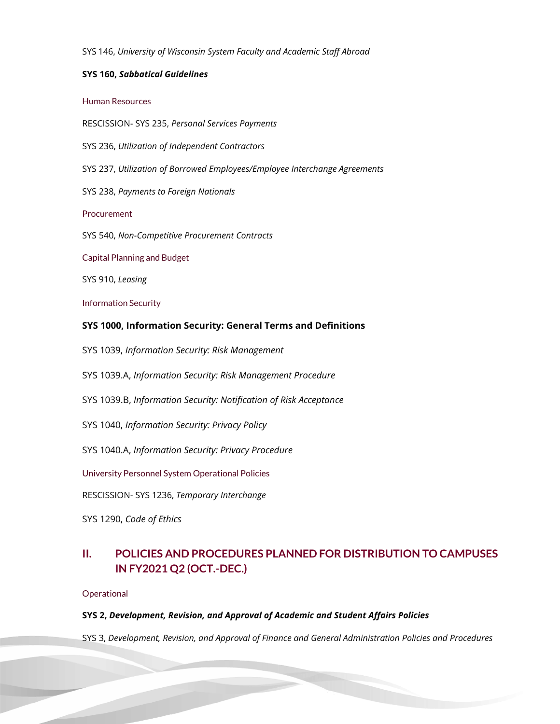SYS 146, *University of Wisconsin System Faculty and Academic Staff Abroad*

#### **SYS 160,** *Sabbatical Guidelines*

#### Human Resources

RESCISSION- SYS 235, *Personal Services Payments*

- SYS 236, *Utilization of Independent Contractors*
- SYS 237, *Utilization of Borrowed Employees/Employee Interchange Agreements*
- SYS 238, *Payments to Foreign Nationals*

Procurement

SYS 540, *Non-Competitive Procurement Contracts*

Capital Planning and Budget

SYS 910, *Leasing*

Information Security

#### **SYS 1000, Information Security: General Terms and Definitions**

SYS 1039, *Information Security: Risk Management*

SYS 1039.A, *Information Security: Risk Management Procedure*

- SYS 1039.B, *Information Security: Notification of Risk Acceptance*
- SYS 1040, *Information Security: Privacy Policy*

SYS 1040.A, *Information Security: Privacy Procedure*

University Personnel System Operational Policies

RESCISSION- SYS 1236, *Temporary Interchange*

SYS 1290, *Code of Ethics*

# **II. POLICIES AND PROCEDURES PLANNED FOR DISTRIBUTION TO CAMPUSES IN FY2021 Q2 (OCT.-DEC.)**

#### **Operational**

#### **SYS 2,** *Development, Revision, and Approval of Academic and Student Affairs Policies*

SYS 3, *Development, Revision, and Approval of Finance and General Administration Policies and Procedures*